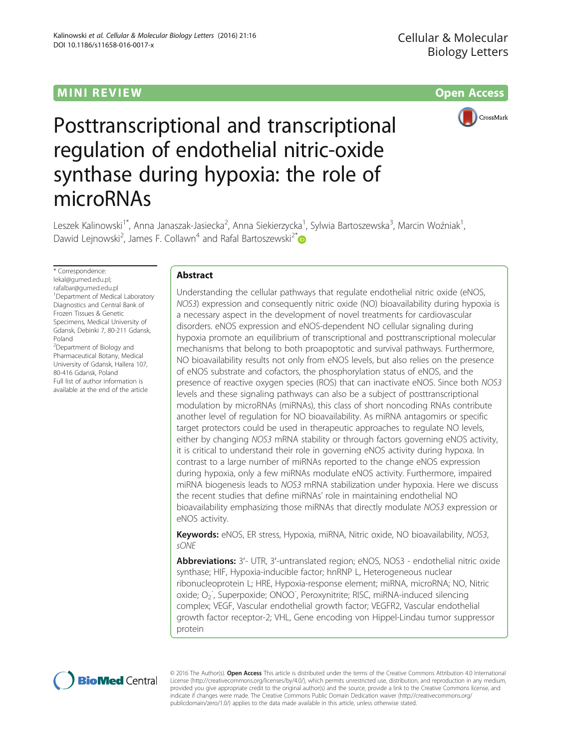# MINI R EVI EW Open Access



# Posttranscriptional and transcriptional regulation of endothelial nitric-oxide synthase during hypoxia: the role of microRNAs

Leszek Kalinowski<sup>1\*</sup>, Anna Janaszak-Jasiecka<sup>2</sup>, Anna Siekierzycka<sup>1</sup>, Sylwia Bartoszewska<sup>3</sup>, Marcin Woźniak<sup>1</sup> , Dawid Lejnowski<sup>2</sup>, James F. Collawn<sup>4</sup> and Rafal Bartoszewski<sup>2\*</sup>

\* Correspondence: [lekal@gumed.edu.pl;](mailto:lekal@gumed.edu.pl) [rafalbar@gumed.edu.pl](mailto:rafalbar@gumed.edu.pl) <sup>1</sup> Department of Medical Laboratory Diagnostics and Central Bank of Frozen Tissues & Genetic Specimens, Medical University of Gdansk, Debinki 7, 80-211 Gdansk, Poland <sup>2</sup>Department of Biology and

Pharmaceutical Botany, Medical University of Gdansk, Hallera 107, 80-416 Gdansk, Poland Full list of author information is available at the end of the article

## Abstract

Understanding the cellular pathways that regulate endothelial nitric oxide (eNOS, NOS3) expression and consequently nitric oxide (NO) bioavailability during hypoxia is a necessary aspect in the development of novel treatments for cardiovascular disorders. eNOS expression and eNOS-dependent NO cellular signaling during hypoxia promote an equilibrium of transcriptional and posttranscriptional molecular mechanisms that belong to both proapoptotic and survival pathways. Furthermore, NO bioavailability results not only from eNOS levels, but also relies on the presence of eNOS substrate and cofactors, the phosphorylation status of eNOS, and the presence of reactive oxygen species (ROS) that can inactivate eNOS. Since both NOS3 levels and these signaling pathways can also be a subject of posttranscriptional modulation by microRNAs (miRNAs), this class of short noncoding RNAs contribute another level of regulation for NO bioavailability. As miRNA antagomirs or specific target protectors could be used in therapeutic approaches to regulate NO levels, either by changing NOS3 mRNA stability or through factors governing eNOS activity, it is critical to understand their role in governing eNOS activity during hypoxa. In contrast to a large number of miRNAs reported to the change eNOS expression during hypoxia, only a few miRNAs modulate eNOS activity. Furthermore, impaired miRNA biogenesis leads to NOS3 mRNA stabilization under hypoxia. Here we discuss the recent studies that define miRNAs' role in maintaining endothelial NO bioavailability emphasizing those miRNAs that directly modulate NOS3 expression or eNOS activity.

Keywords: eNOS, ER stress, Hypoxia, miRNA, Nitric oxide, NO bioavailability, NOS3, sONE

Abbreviations: 3'- UTR, 3'-untranslated region; eNOS, NOS3 - endothelial nitric oxide synthase; HIF, Hypoxia-inducible factor; hnRNP L, Heterogeneous nuclear ribonucleoprotein L; HRE, Hypoxia-response element; miRNA, microRNA; NO, Nitric oxide; O<sub>2</sub>, Superpoxide; ONOO<sup>-</sup>, Peroxynitrite; RISC, miRNA-induced silencing complex; VEGF, Vascular endothelial growth factor; VEGFR2, Vascular endothelial growth factor receptor-2; VHL, Gene encoding von Hippel-Lindau tumor suppressor protein



© 2016 The Author(s). Open Access This article is distributed under the terms of the Creative Commons Attribution 4.0 International License ([http://creativecommons.org/licenses/by/4.0/\)](http://creativecommons.org/licenses/by/4.0/), which permits unrestricted use, distribution, and reproduction in any medium, provided you give appropriate credit to the original author(s) and the source, provide a link to the Creative Commons license, and indicate if changes were made. The Creative Commons Public Domain Dedication waiver ([http://creativecommons.org/](http://creativecommons.org/publicdomain/zero/1.0/) [publicdomain/zero/1.0/\)](http://creativecommons.org/publicdomain/zero/1.0/) applies to the data made available in this article, unless otherwise stated.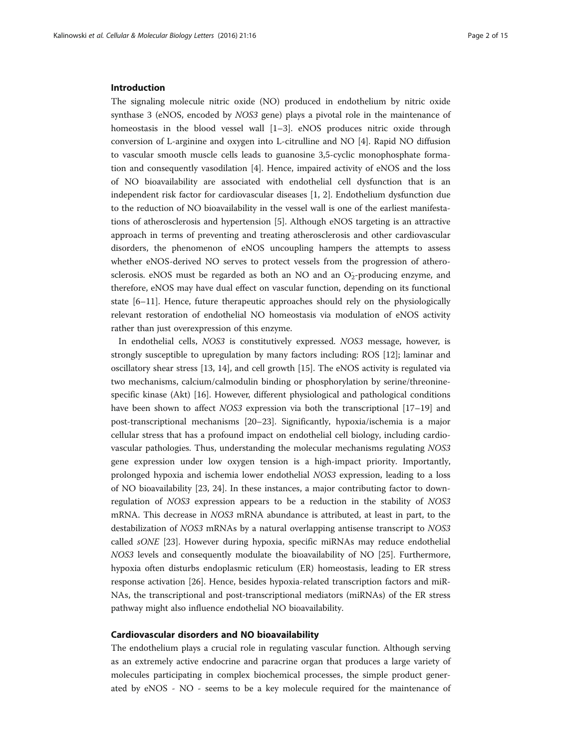## Introduction

The signaling molecule nitric oxide (NO) produced in endothelium by nitric oxide synthase 3 (eNOS, encoded by NOS3 gene) plays a pivotal role in the maintenance of homeostasis in the blood vessel wall [\[1](#page-10-0)–[3\]](#page-10-0). eNOS produces nitric oxide through conversion of L-arginine and oxygen into L-citrulline and NO [[4\]](#page-10-0). Rapid NO diffusion to vascular smooth muscle cells leads to guanosine 3,5-cyclic monophosphate formation and consequently vasodilation [\[4\]](#page-10-0). Hence, impaired activity of eNOS and the loss of NO bioavailability are associated with endothelial cell dysfunction that is an independent risk factor for cardiovascular diseases [\[1, 2](#page-10-0)]. Endothelium dysfunction due to the reduction of NO bioavailability in the vessel wall is one of the earliest manifestations of atherosclerosis and hypertension [[5\]](#page-10-0). Although eNOS targeting is an attractive approach in terms of preventing and treating atherosclerosis and other cardiovascular disorders, the phenomenon of eNOS uncoupling hampers the attempts to assess whether eNOS-derived NO serves to protect vessels from the progression of atherosclerosis. eNOS must be regarded as both an NO and an  $O<sub>2</sub>$ -producing enzyme, and therefore, eNOS may have dual effect on vascular function, depending on its functional state [[6](#page-10-0)–[11\]](#page-11-0). Hence, future therapeutic approaches should rely on the physiologically relevant restoration of endothelial NO homeostasis via modulation of eNOS activity rather than just overexpression of this enzyme.

In endothelial cells, NOS3 is constitutively expressed. NOS3 message, however, is strongly susceptible to upregulation by many factors including: ROS [\[12\]](#page-11-0); laminar and oscillatory shear stress [[13, 14\]](#page-11-0), and cell growth [[15\]](#page-11-0). The eNOS activity is regulated via two mechanisms, calcium/calmodulin binding or phosphorylation by serine/threoninespecific kinase (Akt) [[16](#page-11-0)]. However, different physiological and pathological conditions have been shown to affect *NOS3* expression via both the transcriptional [[17](#page-11-0)-[19](#page-11-0)] and post-transcriptional mechanisms [\[20](#page-11-0)–[23\]](#page-11-0). Significantly, hypoxia/ischemia is a major cellular stress that has a profound impact on endothelial cell biology, including cardiovascular pathologies. Thus, understanding the molecular mechanisms regulating NOS3 gene expression under low oxygen tension is a high-impact priority. Importantly, prolonged hypoxia and ischemia lower endothelial NOS3 expression, leading to a loss of NO bioavailability [[23, 24](#page-11-0)]. In these instances, a major contributing factor to downregulation of NOS3 expression appears to be a reduction in the stability of NOS3 mRNA. This decrease in NOS3 mRNA abundance is attributed, at least in part, to the destabilization of NOS3 mRNAs by a natural overlapping antisense transcript to NOS3 called sONE [\[23\]](#page-11-0). However during hypoxia, specific miRNAs may reduce endothelial NOS3 levels and consequently modulate the bioavailability of NO [\[25\]](#page-11-0). Furthermore, hypoxia often disturbs endoplasmic reticulum (ER) homeostasis, leading to ER stress response activation [[26\]](#page-11-0). Hence, besides hypoxia-related transcription factors and miR-NAs, the transcriptional and post-transcriptional mediators (miRNAs) of the ER stress pathway might also influence endothelial NO bioavailability.

## Cardiovascular disorders and NO bioavailability

The endothelium plays a crucial role in regulating vascular function. Although serving as an extremely active endocrine and paracrine organ that produces a large variety of molecules participating in complex biochemical processes, the simple product generated by eNOS - NO - seems to be a key molecule required for the maintenance of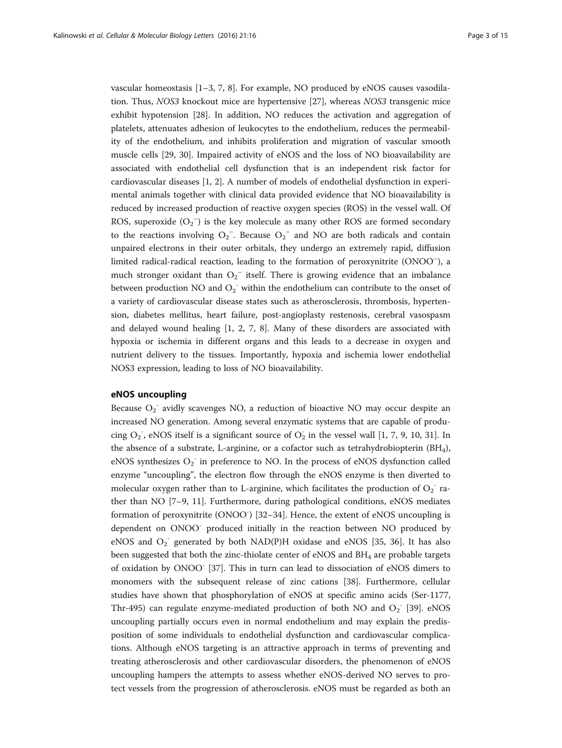vascular homeostasis [\[1](#page-10-0)–[3, 7](#page-10-0), [8](#page-11-0)]. For example, NO produced by eNOS causes vasodilation. Thus, NOS3 knockout mice are hypertensive [[27\]](#page-11-0), whereas NOS3 transgenic mice exhibit hypotension [[28\]](#page-11-0). In addition, NO reduces the activation and aggregation of platelets, attenuates adhesion of leukocytes to the endothelium, reduces the permeability of the endothelium, and inhibits proliferation and migration of vascular smooth muscle cells [\[29](#page-11-0), [30\]](#page-11-0). Impaired activity of eNOS and the loss of NO bioavailability are associated with endothelial cell dysfunction that is an independent risk factor for cardiovascular diseases [[1](#page-10-0), [2](#page-10-0)]. A number of models of endothelial dysfunction in experimental animals together with clinical data provided evidence that NO bioavailability is reduced by increased production of reactive oxygen species (ROS) in the vessel wall. Of ROS, superoxide  $(O_2^-)$  is the key molecule as many other ROS are formed secondary to the reactions involving  $O_2^-$ . Because  $O_2^-$  and NO are both radicals and contain unpaired electrons in their outer orbitals, they undergo an extremely rapid, diffusion limited radical-radical reaction, leading to the formation of peroxynitrite (ONOO<sup>-</sup>), a much stronger oxidant than  $O_2^-$  itself. There is growing evidence that an imbalance between production NO and  $O_2$ <sup>-</sup> within the endothelium can contribute to the onset of a variety of cardiovascular disease states such as atherosclerosis, thrombosis, hypertension, diabetes mellitus, heart failure, post-angioplasty restenosis, cerebral vasospasm and delayed wound healing [\[1, 2](#page-10-0), [7,](#page-10-0) [8](#page-11-0)]. Many of these disorders are associated with hypoxia or ischemia in different organs and this leads to a decrease in oxygen and nutrient delivery to the tissues. Importantly, hypoxia and ischemia lower endothelial NOS3 expression, leading to loss of NO bioavailability.

## eNOS uncoupling

Because  $O_2$ <sup>-</sup> avidly scavenges NO, a reduction of bioactive NO may occur despite an increased NO generation. Among several enzymatic systems that are capable of producing  $O_2$ , eNOS itself is a significant source of  $O_2$  in the vessel wall [\[1, 7](#page-10-0), [9, 10](#page-11-0), [31](#page-11-0)]. In the absence of a substrate, L-arginine, or a cofactor such as tetrahydrobiopterin (BH4), eNOS synthesizes  $O_2$  in preference to NO. In the process of eNOS dysfunction called enzyme "uncoupling", the electron flow through the eNOS enzyme is then diverted to molecular oxygen rather than to L-arginine, which facilitates the production of  $O_2^-$  rather than NO [\[7](#page-10-0)–[9, 11\]](#page-11-0). Furthermore, during pathological conditions, eNOS mediates formation of peroxynitrite (ONOO<sup>-</sup>) [[32](#page-11-0)-[34](#page-11-0)]. Hence, the extent of eNOS uncoupling is dependent on ONOO<sup>-</sup> produced initially in the reaction between NO produced by eNOS and  $O_2$ <sup>-</sup> generated by both NAD(P)H oxidase and eNOS [\[35, 36](#page-11-0)]. It has also been suggested that both the zinc-thiolate center of eNOS and  $BH<sub>4</sub>$  are probable targets of oxidation by ONOO- [[37\]](#page-11-0). This in turn can lead to dissociation of eNOS dimers to monomers with the subsequent release of zinc cations [\[38](#page-11-0)]. Furthermore, cellular studies have shown that phosphorylation of eNOS at specific amino acids (Ser-1177, Thr-495) can regulate enzyme-mediated production of both NO and  $O_2$  [[39\]](#page-11-0). eNOS uncoupling partially occurs even in normal endothelium and may explain the predisposition of some individuals to endothelial dysfunction and cardiovascular complications. Although eNOS targeting is an attractive approach in terms of preventing and treating atherosclerosis and other cardiovascular disorders, the phenomenon of eNOS uncoupling hampers the attempts to assess whether eNOS-derived NO serves to protect vessels from the progression of atherosclerosis. eNOS must be regarded as both an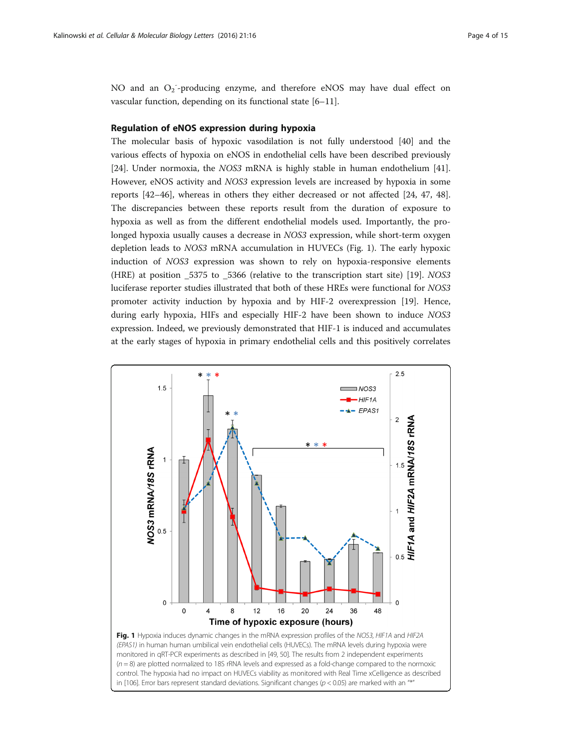NO and an O<sub>2</sub><sup>-</sup>-producing enzyme, and therefore eNOS may have dual effect on vascular function, depending on its functional state [[6](#page-10-0)–[11](#page-11-0)].

## Regulation of eNOS expression during hypoxia

The molecular basis of hypoxic vasodilation is not fully understood [[40\]](#page-12-0) and the various effects of hypoxia on eNOS in endothelial cells have been described previously [[24\]](#page-11-0). Under normoxia, the NOS3 mRNA is highly stable in human endothelium [[41](#page-12-0)]. However, eNOS activity and NOS3 expression levels are increased by hypoxia in some reports [\[42](#page-12-0)–[46\]](#page-12-0), whereas in others they either decreased or not affected [\[24](#page-11-0), [47](#page-12-0), [48](#page-12-0)]. The discrepancies between these reports result from the duration of exposure to hypoxia as well as from the different endothelial models used. Importantly, the prolonged hypoxia usually causes a decrease in NOS3 expression, while short-term oxygen depletion leads to NOS3 mRNA accumulation in HUVECs (Fig. 1). The early hypoxic induction of NOS3 expression was shown to rely on hypoxia-responsive elements (HRE) at position \_5375 to \_5366 (relative to the transcription start site) [\[19](#page-11-0)]. NOS3 luciferase reporter studies illustrated that both of these HREs were functional for NOS3 promoter activity induction by hypoxia and by HIF-2 overexpression [[19](#page-11-0)]. Hence, during early hypoxia, HIFs and especially HIF-2 have been shown to induce NOS3 expression. Indeed, we previously demonstrated that HIF-1 is induced and accumulates at the early stages of hypoxia in primary endothelial cells and this positively correlates

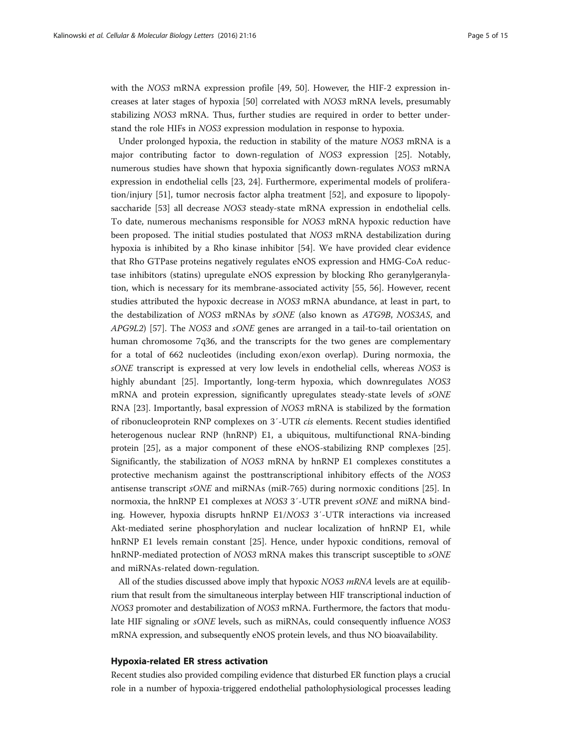with the NOS3 mRNA expression profile [\[49, 50\]](#page-12-0). However, the HIF-2 expression increases at later stages of hypoxia [[50](#page-12-0)] correlated with NOS3 mRNA levels, presumably stabilizing NOS3 mRNA. Thus, further studies are required in order to better understand the role HIFs in NOS3 expression modulation in response to hypoxia.

Under prolonged hypoxia, the reduction in stability of the mature NOS3 mRNA is a major contributing factor to down-regulation of NOS3 expression [[25](#page-11-0)]. Notably, numerous studies have shown that hypoxia significantly down-regulates NOS3 mRNA expression in endothelial cells [[23, 24](#page-11-0)]. Furthermore, experimental models of proliferation/injury [\[51\]](#page-12-0), tumor necrosis factor alpha treatment [[52\]](#page-12-0), and exposure to lipopolysaccharide [\[53](#page-12-0)] all decrease NOS3 steady-state mRNA expression in endothelial cells. To date, numerous mechanisms responsible for NOS3 mRNA hypoxic reduction have been proposed. The initial studies postulated that NOS3 mRNA destabilization during hypoxia is inhibited by a Rho kinase inhibitor [[54\]](#page-12-0). We have provided clear evidence that Rho GTPase proteins negatively regulates eNOS expression and HMG-CoA reductase inhibitors (statins) upregulate eNOS expression by blocking Rho geranylgeranylation, which is necessary for its membrane-associated activity [\[55](#page-12-0), [56\]](#page-12-0). However, recent studies attributed the hypoxic decrease in NOS3 mRNA abundance, at least in part, to the destabilization of NOS3 mRNAs by sONE (also known as ATG9B, NOS3AS, and APG9L2) [[57\]](#page-12-0). The NOS3 and sONE genes are arranged in a tail-to-tail orientation on human chromosome 7q36, and the transcripts for the two genes are complementary for a total of 662 nucleotides (including exon/exon overlap). During normoxia, the sONE transcript is expressed at very low levels in endothelial cells, whereas NOS3 is highly abundant [\[25](#page-11-0)]. Importantly, long-term hypoxia, which downregulates NOS3 mRNA and protein expression, significantly upregulates steady-state levels of sONE RNA [[23](#page-11-0)]. Importantly, basal expression of NOS3 mRNA is stabilized by the formation of ribonucleoprotein RNP complexes on 3′-UTR cis elements. Recent studies identified heterogenous nuclear RNP (hnRNP) E1, a ubiquitous, multifunctional RNA-binding protein [[25\]](#page-11-0), as a major component of these eNOS-stabilizing RNP complexes [[25](#page-11-0)]. Significantly, the stabilization of NOS3 mRNA by hnRNP E1 complexes constitutes a protective mechanism against the posttranscriptional inhibitory effects of the NOS3 antisense transcript sONE and miRNAs (miR-765) during normoxic conditions [[25](#page-11-0)]. In normoxia, the hnRNP E1 complexes at NOS3 3'-UTR prevent sONE and miRNA binding. However, hypoxia disrupts hnRNP E1/NOS3 3′-UTR interactions via increased Akt-mediated serine phosphorylation and nuclear localization of hnRNP E1, while hnRNP E1 levels remain constant [[25](#page-11-0)]. Hence, under hypoxic conditions, removal of hnRNP-mediated protection of NOS3 mRNA makes this transcript susceptible to sONE and miRNAs-related down-regulation.

All of the studies discussed above imply that hypoxic NOS3 mRNA levels are at equilibrium that result from the simultaneous interplay between HIF transcriptional induction of NOS3 promoter and destabilization of NOS3 mRNA. Furthermore, the factors that modulate HIF signaling or sONE levels, such as miRNAs, could consequently influence NOS3 mRNA expression, and subsequently eNOS protein levels, and thus NO bioavailability.

## Hypoxia-related ER stress activation

Recent studies also provided compiling evidence that disturbed ER function plays a crucial role in a number of hypoxia-triggered endothelial patholophysiological processes leading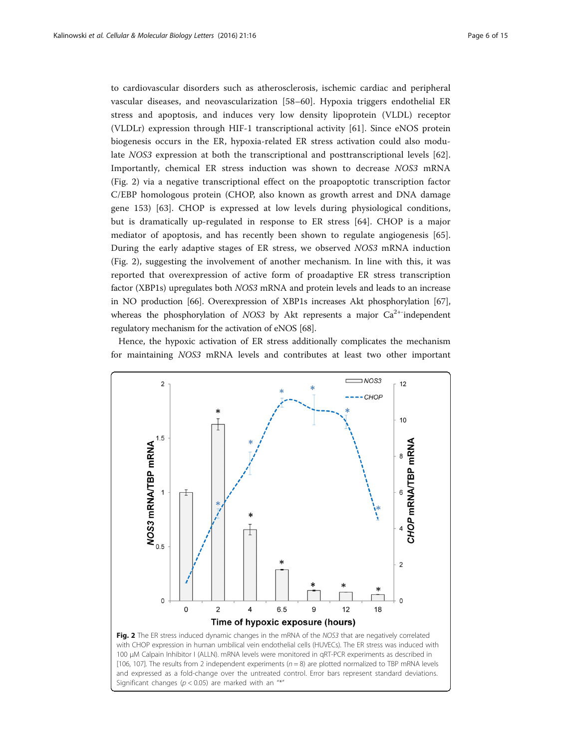to cardiovascular disorders such as atherosclerosis, ischemic cardiac and peripheral vascular diseases, and neovascularization [[58](#page-12-0)–[60\]](#page-12-0). Hypoxia triggers endothelial ER stress and apoptosis, and induces very low density lipoprotein (VLDL) receptor (VLDLr) expression through HIF-1 transcriptional activity [\[61](#page-12-0)]. Since eNOS protein biogenesis occurs in the ER, hypoxia-related ER stress activation could also modulate NOS3 expression at both the transcriptional and posttranscriptional levels [\[62](#page-12-0)]. Importantly, chemical ER stress induction was shown to decrease NOS3 mRNA (Fig. 2) via a negative transcriptional effect on the proapoptotic transcription factor C/EBP homologous protein (CHOP, also known as growth arrest and DNA damage gene 153) [[63\]](#page-12-0). CHOP is expressed at low levels during physiological conditions, but is dramatically up-regulated in response to ER stress [[64\]](#page-12-0). CHOP is a major mediator of apoptosis, and has recently been shown to regulate angiogenesis [\[65](#page-12-0)]. During the early adaptive stages of ER stress, we observed NOS3 mRNA induction (Fig. 2), suggesting the involvement of another mechanism. In line with this, it was reported that overexpression of active form of proadaptive ER stress transcription factor (XBP1s) upregulates both NOS3 mRNA and protein levels and leads to an increase in NO production [\[66\]](#page-12-0). Overexpression of XBP1s increases Akt phosphorylation [[67](#page-12-0)], whereas the phosphorylation of NOS3 by Akt represents a major  $Ca^{2+}$  independent regulatory mechanism for the activation of eNOS [\[68](#page-12-0)].

Hence, the hypoxic activation of ER stress additionally complicates the mechanism for maintaining NOS3 mRNA levels and contributes at least two other important



100 μM Calpain Inhibitor I (ALLN). mRNA levels were monitored in qRT-PCR experiments as described in [[106](#page-14-0), [107](#page-14-0)]. The results from 2 independent experiments ( $n = 8$ ) are plotted normalized to TBP mRNA levels and expressed as a fold-change over the untreated control. Error bars represent standard deviations. Significant changes ( $p < 0.05$ ) are marked with an "\*"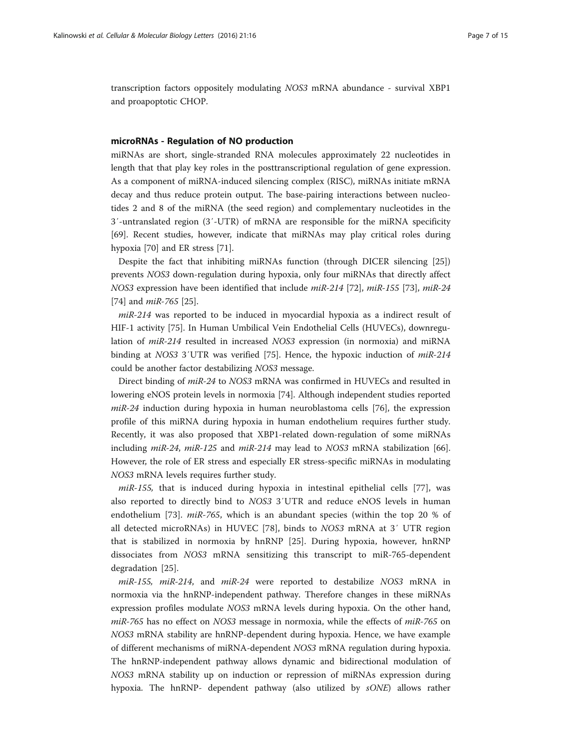transcription factors oppositely modulating NOS3 mRNA abundance - survival XBP1 and proapoptotic CHOP.

#### microRNAs - Regulation of NO production

miRNAs are short, single-stranded RNA molecules approximately 22 nucleotides in length that that play key roles in the posttranscriptional regulation of gene expression. As a component of miRNA-induced silencing complex (RISC), miRNAs initiate mRNA decay and thus reduce protein output. The base-pairing interactions between nucleotides 2 and 8 of the miRNA (the seed region) and complementary nucleotides in the 3′-untranslated region (3′-UTR) of mRNA are responsible for the miRNA specificity [[69\]](#page-12-0). Recent studies, however, indicate that miRNAs may play critical roles during hypoxia [[70](#page-12-0)] and ER stress [[71\]](#page-12-0).

Despite the fact that inhibiting miRNAs function (through DICER silencing [\[25](#page-11-0)]) prevents NOS3 down-regulation during hypoxia, only four miRNAs that directly affect NOS3 expression have been identified that include miR-214 [\[72](#page-12-0)], miR-155 [[73\]](#page-13-0), miR-24 [[74\]](#page-13-0) and *miR-765* [\[25](#page-11-0)].

miR-214 was reported to be induced in myocardial hypoxia as a indirect result of HIF-1 activity [\[75\]](#page-13-0). In Human Umbilical Vein Endothelial Cells (HUVECs), downregulation of miR-214 resulted in increased NOS3 expression (in normoxia) and miRNA binding at NOS3 3'UTR was verified [[75](#page-13-0)]. Hence, the hypoxic induction of  $miR-214$ could be another factor destabilizing NOS3 message.

Direct binding of miR-24 to NOS3 mRNA was confirmed in HUVECs and resulted in lowering eNOS protein levels in normoxia [[74\]](#page-13-0). Although independent studies reported  $miR-24$  induction during hypoxia in human neuroblastoma cells [[76\]](#page-13-0), the expression profile of this miRNA during hypoxia in human endothelium requires further study. Recently, it was also proposed that XBP1-related down-regulation of some miRNAs including miR-24, miR-125 and miR-214 may lead to NOS3 mRNA stabilization [[66](#page-12-0)]. However, the role of ER stress and especially ER stress-specific miRNAs in modulating NOS3 mRNA levels requires further study.

 $miR-155$ , that is induced during hypoxia in intestinal epithelial cells [\[77](#page-13-0)], was also reported to directly bind to NOS3 3′UTR and reduce eNOS levels in human endothelium [[73](#page-13-0)]. *miR-765*, which is an abundant species (within the top 20 % of all detected microRNAs) in HUVEC [\[78](#page-13-0)], binds to NOS3 mRNA at 3′ UTR region that is stabilized in normoxia by hnRNP [\[25](#page-11-0)]. During hypoxia, however, hnRNP dissociates from NOS3 mRNA sensitizing this transcript to miR-765-dependent degradation [[25](#page-11-0)].

miR-155, miR-214, and miR-24 were reported to destabilize NOS3 mRNA in normoxia via the hnRNP-independent pathway. Therefore changes in these miRNAs expression profiles modulate NOS3 mRNA levels during hypoxia. On the other hand, miR-765 has no effect on NOS3 message in normoxia, while the effects of miR-765 on NOS3 mRNA stability are hnRNP-dependent during hypoxia. Hence, we have example of different mechanisms of miRNA-dependent NOS3 mRNA regulation during hypoxia. The hnRNP-independent pathway allows dynamic and bidirectional modulation of NOS3 mRNA stability up on induction or repression of miRNAs expression during hypoxia. The hnRNP- dependent pathway (also utilized by sONE) allows rather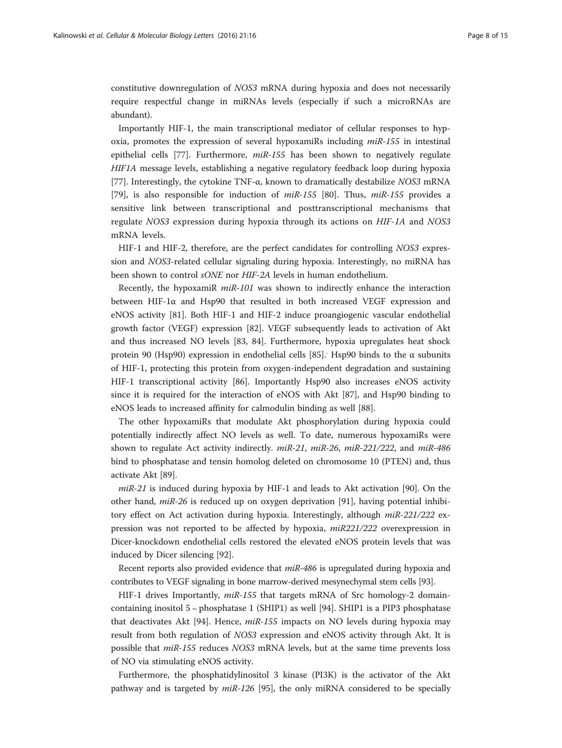constitutive downregulation of NOS3 mRNA during hypoxia and does not necessarily require respectful change in miRNAs levels (especially if such a microRNAs are abundant).

Importantly HIF-1, the main transcriptional mediator of cellular responses to hypoxia, promotes the expression of several hypoxamiRs including miR-155 in intestinal epithelial cells [\[77\]](#page-13-0). Furthermore,  $miR-155$  has been shown to negatively regulate HIF1A message levels, establishing a negative regulatory feedback loop during hypoxia [[77\]](#page-13-0). Interestingly, the cytokine  $TNF-\alpha$ , known to dramatically destabilize NOS3 mRNA [[79\]](#page-13-0), is also responsible for induction of  $miR-155$  [\[80\]](#page-13-0). Thus,  $miR-155$  provides a sensitive link between transcriptional and posttranscriptional mechanisms that regulate NOS3 expression during hypoxia through its actions on HIF-1A and NOS3 mRNA levels.

HIF-1 and HIF-2, therefore, are the perfect candidates for controlling NOS3 expression and NOS3-related cellular signaling during hypoxia. Interestingly, no miRNA has been shown to control sONE nor HIF-2A levels in human endothelium.

Recently, the hypoxamiR  $miR-101$  was shown to indirectly enhance the interaction between HIF-1 $\alpha$  and Hsp90 that resulted in both increased VEGF expression and eNOS activity [[81\]](#page-13-0). Both HIF-1 and HIF-2 induce proangiogenic vascular endothelial growth factor (VEGF) expression [\[82](#page-13-0)]. VEGF subsequently leads to activation of Akt and thus increased NO levels [[83, 84\]](#page-13-0). Furthermore, hypoxia upregulates heat shock protein 90 (Hsp90) expression in endothelial cells [[85\]](#page-13-0). Hsp90 binds to the α subunits of HIF-1, protecting this protein from oxygen-independent degradation and sustaining HIF-1 transcriptional activity [[86](#page-13-0)]. Importantly Hsp90 also increases eNOS activity since it is required for the interaction of eNOS with Akt [[87\]](#page-13-0), and Hsp90 binding to eNOS leads to increased affinity for calmodulin binding as well [[88\]](#page-13-0).

The other hypoxamiRs that modulate Akt phosphorylation during hypoxia could potentially indirectly affect NO levels as well. To date, numerous hypoxamiRs were shown to regulate Act activity indirectly. *miR-21*, *miR-26*, *miR-221/222*, and *miR-486* bind to phosphatase and tensin homolog deleted on chromosome 10 (PTEN) and, thus activate Akt [[89](#page-13-0)].

 $miR-21$  is induced during hypoxia by HIF-1 and leads to Akt activation [[90](#page-13-0)]. On the other hand, miR-26 is reduced up on oxygen deprivation [[91\]](#page-13-0), having potential inhibitory effect on Act activation during hypoxia. Interestingly, although  $miR-221/222$  expression was not reported to be affected by hypoxia,  $miR221/222$  overexpression in Dicer-knockdown endothelial cells restored the elevated eNOS protein levels that was induced by Dicer silencing [[92](#page-13-0)].

Recent reports also provided evidence that miR-486 is upregulated during hypoxia and contributes to VEGF signaling in bone marrow-derived mesynechymal stem cells [[93](#page-13-0)].

HIF-1 drives Importantly,  $miR-155$  that targets mRNA of Src homology-2 domaincontaining inositol 5 ∼ phosphatase 1 (SHIP1) as well [\[94](#page-13-0)]. SHIP1 is a PIP3 phosphatase that deactivates Akt [\[94](#page-13-0)]. Hence, miR-155 impacts on NO levels during hypoxia may result from both regulation of NOS3 expression and eNOS activity through Akt. It is possible that miR-155 reduces NOS3 mRNA levels, but at the same time prevents loss of NO via stimulating eNOS activity.

Furthermore, the phosphatidylinositol 3 kinase (PI3K) is the activator of the Akt pathway and is targeted by miR-126 [[95\]](#page-13-0), the only miRNA considered to be specially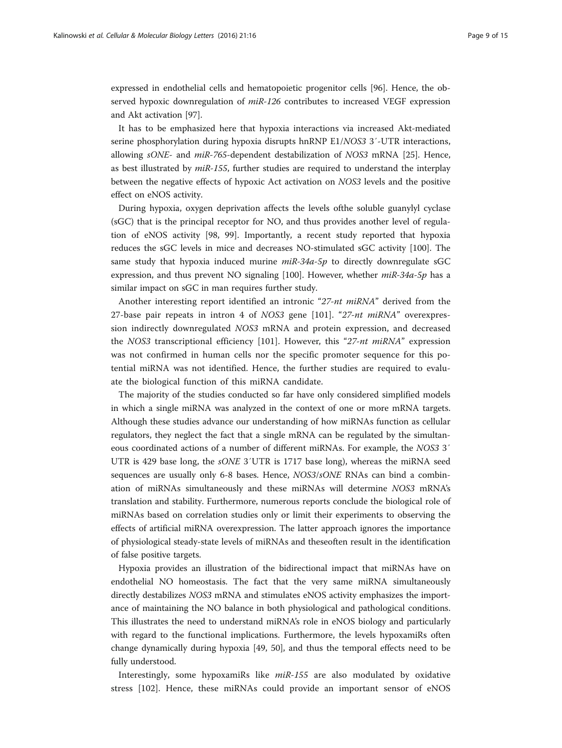expressed in endothelial cells and hematopoietic progenitor cells [[96\]](#page-13-0). Hence, the observed hypoxic downregulation of miR-126 contributes to increased VEGF expression and Akt activation [\[97](#page-13-0)].

It has to be emphasized here that hypoxia interactions via increased Akt-mediated serine phosphorylation during hypoxia disrupts hnRNP E1/NOS3 3'-UTR interactions, allowing sONE- and miR-765-dependent destabilization of NOS3 mRNA [\[25\]](#page-11-0). Hence, as best illustrated by  $miR-155$ , further studies are required to understand the interplay between the negative effects of hypoxic Act activation on NOS3 levels and the positive effect on eNOS activity.

During hypoxia, oxygen deprivation affects the levels ofthe soluble guanylyl cyclase (sGC) that is the principal receptor for NO, and thus provides another level of regulation of eNOS activity [[98, 99](#page-13-0)]. Importantly, a recent study reported that hypoxia reduces the sGC levels in mice and decreases NO-stimulated sGC activity [[100](#page-13-0)]. The same study that hypoxia induced murine  $mR-34a-5p$  to directly downregulate sGC expression, and thus prevent NO signaling [\[100](#page-13-0)]. However, whether miR-34a-5p has a similar impact on sGC in man requires further study.

Another interesting report identified an intronic "27-nt miRNA" derived from the 27-base pair repeats in intron 4 of NOS3 gene  $[101]$  $[101]$ . "27-nt miRNA" overexpression indirectly downregulated NOS3 mRNA and protein expression, and decreased the NOS3 transcriptional efficiency [\[101](#page-13-0)]. However, this "27-nt miRNA" expression was not confirmed in human cells nor the specific promoter sequence for this potential miRNA was not identified. Hence, the further studies are required to evaluate the biological function of this miRNA candidate.

The majority of the studies conducted so far have only considered simplified models in which a single miRNA was analyzed in the context of one or more mRNA targets. Although these studies advance our understanding of how miRNAs function as cellular regulators, they neglect the fact that a single mRNA can be regulated by the simultaneous coordinated actions of a number of different miRNAs. For example, the NOS3 3′ UTR is 429 base long, the sONE 3′UTR is 1717 base long), whereas the miRNA seed sequences are usually only 6-8 bases. Hence, *NOS3/sONE* RNAs can bind a combination of miRNAs simultaneously and these miRNAs will determine NOS3 mRNA's translation and stability. Furthermore, numerous reports conclude the biological role of miRNAs based on correlation studies only or limit their experiments to observing the effects of artificial miRNA overexpression. The latter approach ignores the importance of physiological steady-state levels of miRNAs and theseoften result in the identification of false positive targets.

Hypoxia provides an illustration of the bidirectional impact that miRNAs have on endothelial NO homeostasis. The fact that the very same miRNA simultaneously directly destabilizes NOS3 mRNA and stimulates eNOS activity emphasizes the importance of maintaining the NO balance in both physiological and pathological conditions. This illustrates the need to understand miRNA's role in eNOS biology and particularly with regard to the functional implications. Furthermore, the levels hypoxamiRs often change dynamically during hypoxia [[49](#page-12-0), [50\]](#page-12-0), and thus the temporal effects need to be fully understood.

Interestingly, some hypoxamiRs like miR-155 are also modulated by oxidative stress [[102\]](#page-13-0). Hence, these miRNAs could provide an important sensor of eNOS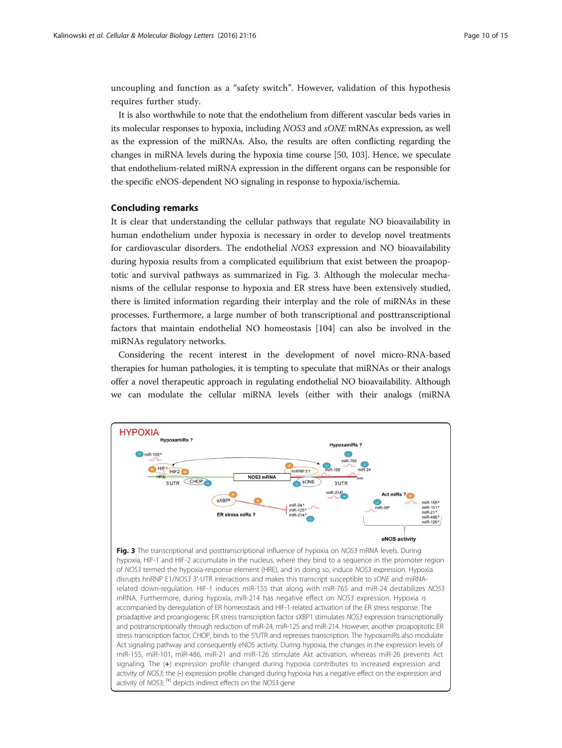uncoupling and function as a "safety switch". However, validation of this hypothesis requires further study.

It is also worthwhile to note that the endothelium from different vascular beds varies in its molecular responses to hypoxia, including NOS3 and sONE mRNAs expression, as well as the expression of the miRNAs. Also, the results are often conflicting regarding the changes in miRNA levels during the hypoxia time course [\[50,](#page-12-0) [103\]](#page-13-0). Hence, we speculate that endothelium-related miRNA expression in the different organs can be responsible for the specific eNOS-dependent NO signaling in response to hypoxia/ischemia.

## Concluding remarks

It is clear that understanding the cellular pathways that regulate NO bioavailability in human endothelium under hypoxia is necessary in order to develop novel treatments for cardiovascular disorders. The endothelial NOS3 expression and NO bioavailability during hypoxia results from a complicated equilibrium that exist between the proapoptotic and survival pathways as summarized in Fig. 3. Although the molecular mechanisms of the cellular response to hypoxia and ER stress have been extensively studied, there is limited information regarding their interplay and the role of miRNAs in these processes. Furthermore, a large number of both transcriptional and posttranscriptional factors that maintain endothelial NO homeostasis [[104](#page-14-0)] can also be involved in the miRNAs regulatory networks.

Considering the recent interest in the development of novel micro-RNA-based therapies for human pathologies, it is tempting to speculate that miRNAs or their analogs offer a novel therapeutic approach in regulating endothelial NO bioavailability. Although we can modulate the cellular miRNA levels (either with their analogs (miRNA

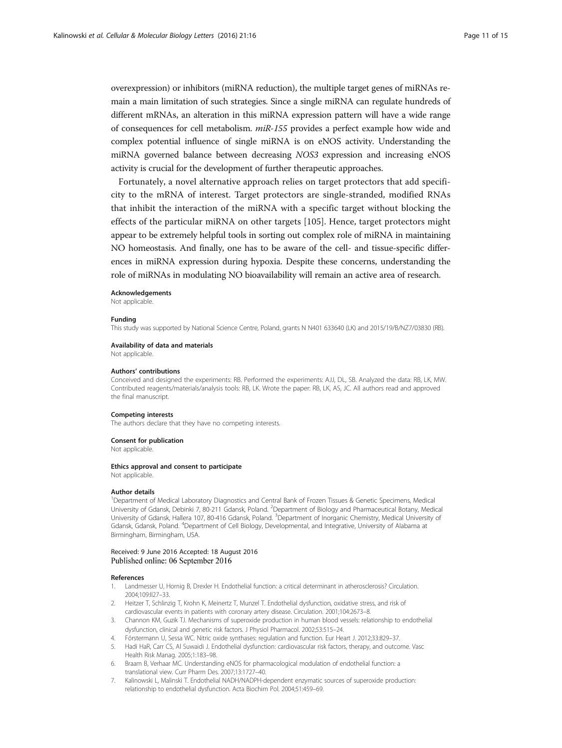<span id="page-10-0"></span>overexpression) or inhibitors (miRNA reduction), the multiple target genes of miRNAs remain a main limitation of such strategies. Since a single miRNA can regulate hundreds of different mRNAs, an alteration in this miRNA expression pattern will have a wide range of consequences for cell metabolism. miR-155 provides a perfect example how wide and complex potential influence of single miRNA is on eNOS activity. Understanding the miRNA governed balance between decreasing NOS3 expression and increasing eNOS activity is crucial for the development of further therapeutic approaches.

Fortunately, a novel alternative approach relies on target protectors that add specificity to the mRNA of interest. Target protectors are single-stranded, modified RNAs that inhibit the interaction of the miRNA with a specific target without blocking the effects of the particular miRNA on other targets [\[105](#page-14-0)]. Hence, target protectors might appear to be extremely helpful tools in sorting out complex role of miRNA in maintaining NO homeostasis. And finally, one has to be aware of the cell- and tissue-specific differences in miRNA expression during hypoxia. Despite these concerns, understanding the role of miRNAs in modulating NO bioavailability will remain an active area of research.

#### Acknowledgements

Not applicable.

#### Funding

This study was supported by National Science Centre, Poland, grants N N401 633640 (LK) and 2015/19/B/NZ7/03830 (RB).

#### Availability of data and materials

Not applicable.

#### Authors' contributions

Conceived and designed the experiments: RB. Performed the experiments: AJJ, DL, SB. Analyzed the data: RB, LK, MW. Contributed reagents/materials/analysis tools: RB, LK. Wrote the paper: RB, LK, AS, JC. All authors read and approved the final manuscript.

#### Competing interests

The authors declare that they have no competing interests.

#### Consent for publication

Not applicable.

#### Ethics approval and consent to participate

Not applicable.

#### Author details

<sup>1</sup>Department of Medical Laboratory Diagnostics and Central Bank of Frozen Tissues & Genetic Specimens, Medical University of Gdansk, Debinki 7, 80-211 Gdansk, Poland. <sup>2</sup>Department of Biology and Pharmaceutical Botany, Medical University of Gdansk, Hallera 107, 80-416 Gdansk, Poland. <sup>3</sup>Department of Inorganic Chemistry, Medical University of Gdansk, Gdansk, Poland. <sup>4</sup>Department of Cell Biology, Developmental, and Integrative, University of Alabama at Birmingham, Birmingham, USA.

## Received: 9 June 2016 Accepted: 18 August 2016 Published online: 06 September 2016

#### References

- 1. Landmesser U, Hornig B, Drexler H. Endothelial function: a critical determinant in atherosclerosis? Circulation. 2004;109:II27–33.
- 2. Heitzer T, Schlinzig T, Krohn K, Meinertz T, Munzel T. Endothelial dysfunction, oxidative stress, and risk of cardiovascular events in patients with coronary artery disease. Circulation. 2001;104:2673–8.
- 3. Channon KM, Guzik TJ. Mechanisms of superoxide production in human blood vessels: relationship to endothelial dysfunction, clinical and genetic risk factors. J Physiol Pharmacol. 2002;53:515–24.
- 4. Förstermann U, Sessa WC. Nitric oxide synthases: regulation and function. Eur Heart J. 2012;33:829–37.
- 5. Hadi HaR, Carr CS, Al Suwaidi J. Endothelial dysfunction: cardiovascular risk factors, therapy, and outcome. Vasc Health Risk Manag. 2005;1:183–98.
- 6. Braam B, Verhaar MC. Understanding eNOS for pharmacological modulation of endothelial function: a translational view. Curr Pharm Des. 2007;13:1727–40.
- 7. Kalinowski L, Malinski T. Endothelial NADH/NADPH-dependent enzymatic sources of superoxide production: relationship to endothelial dysfunction. Acta Biochim Pol. 2004;51:459–69.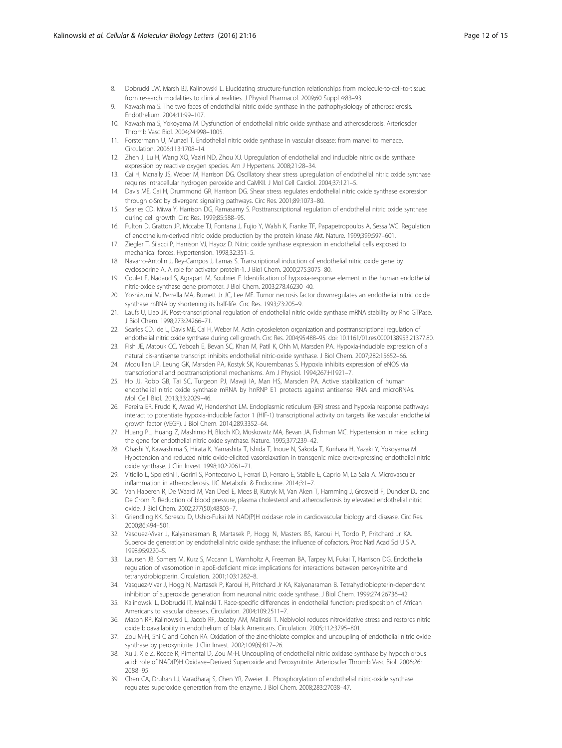- <span id="page-11-0"></span>8. Dobrucki LW, Marsh BJ, Kalinowski L. Elucidating structure-function relationships from molecule-to-cell-to-tissue: from research modalities to clinical realities. J Physiol Pharmacol. 2009;60 Suppl 4:83–93.
- 9. Kawashima S. The two faces of endothelial nitric oxide synthase in the pathophysiology of atherosclerosis. Endothelium. 2004;11:99–107.
- 10. Kawashima S, Yokoyama M. Dysfunction of endothelial nitric oxide synthase and atherosclerosis. Arterioscler Thromb Vasc Biol. 2004;24:998–1005.
- 11. Forstermann U, Munzel T. Endothelial nitric oxide synthase in vascular disease: from marvel to menace. Circulation. 2006;113:1708–14.
- 12. Zhen J, Lu H, Wang XQ, Vaziri ND, Zhou XJ. Upregulation of endothelial and inducible nitric oxide synthase expression by reactive oxygen species. Am J Hypertens. 2008;21:28–34.
- 13. Cai H, Mcnally JS, Weber M, Harrison DG. Oscillatory shear stress upregulation of endothelial nitric oxide synthase requires intracellular hydrogen peroxide and CaMKII. J Mol Cell Cardiol. 2004;37:121–5.
- 14. Davis ME, Cai H, Drummond GR, Harrison DG. Shear stress regulates endothelial nitric oxide synthase expression through c-Src by divergent signaling pathways. Circ Res. 2001;89:1073–80.
- 15. Searles CD, Miwa Y, Harrison DG, Ramasamy S. Posttranscriptional regulation of endothelial nitric oxide synthase during cell growth. Circ Res. 1999;85:588–95.
- 16. Fulton D, Gratton JP, Mccabe TJ, Fontana J, Fujio Y, Walsh K, Franke TF, Papapetropoulos A, Sessa WC. Regulation of endothelium-derived nitric oxide production by the protein kinase Akt. Nature. 1999;399:597–601.
- 17. Ziegler T, Silacci P, Harrison VJ, Hayoz D. Nitric oxide synthase expression in endothelial cells exposed to mechanical forces. Hypertension. 1998;32:351–5.
- 18. Navarro-Antolin J, Rey-Campos J, Lamas S. Transcriptional induction of endothelial nitric oxide gene by cyclosporine A. A role for activator protein-1. J Biol Chem. 2000;275:3075–80.
- 19. Coulet F, Nadaud S, Agrapart M, Soubrier F. Identification of hypoxia-response element in the human endothelial nitric-oxide synthase gene promoter. J Biol Chem. 2003;278:46230–40.
- 20. Yoshizumi M, Perrella MA, Burnett Jr JC, Lee ME. Tumor necrosis factor downregulates an endothelial nitric oxide synthase mRNA by shortening its half-life. Circ Res. 1993;73:205–9.
- 21. Laufs U, Liao JK. Post-transcriptional regulation of endothelial nitric oxide synthase mRNA stability by Rho GTPase. J Biol Chem. 1998;273:24266–71.
- 22. Searles CD, Ide L, Davis ME, Cai H, Weber M. Actin cytoskeleton organization and posttranscriptional regulation of endothelial nitric oxide synthase during cell growth. Circ Res. 2004;95:488–95. doi: [10.1161/01.res.0000138953.21377.80.](http://dx.doi.org/10.1161/01.res.0000138953.21377.80)
- 23. Fish JE, Matouk CC, Yeboah E, Bevan SC, Khan M, Patil K, Ohh M, Marsden PA. Hypoxia-inducible expression of a natural cis-antisense transcript inhibits endothelial nitric-oxide synthase. J Biol Chem. 2007;282:15652–66.
- 24. Mcquillan LP, Leung GK, Marsden PA, Kostyk SK, Kourembanas S. Hypoxia inhibits expression of eNOS via transcriptional and posttranscriptional mechanisms. Am J Physiol. 1994;267:H1921–7.
- 25. Ho JJ, Robb GB, Tai SC, Turgeon PJ, Mawji IA, Man HS, Marsden PA. Active stabilization of human endothelial nitric oxide synthase mRNA by hnRNP E1 protects against antisense RNA and microRNAs. Mol Cell Biol. 2013;33:2029–46.
- 26. Pereira ER, Frudd K, Awad W, Hendershot LM. Endoplasmic reticulum (ER) stress and hypoxia response pathways interact to potentiate hypoxia-inducible factor 1 (HIF-1) transcriptional activity on targets like vascular endothelial growth factor (VEGF). J Biol Chem. 2014;289:3352–64.
- 27. Huang PL, Huang Z, Mashimo H, Bloch KD, Moskowitz MA, Bevan JA, Fishman MC. Hypertension in mice lacking the gene for endothelial nitric oxide synthase. Nature. 1995;377:239–42.
- 28. Ohashi Y, Kawashima S, Hirata K, Yamashita T, Ishida T, Inoue N, Sakoda T, Kurihara H, Yazaki Y, Yokoyama M. Hypotension and reduced nitric oxide-elicited vasorelaxation in transgenic mice overexpressing endothelial nitric oxide synthase. J Clin Invest. 1998;102:2061–71.
- 29. Vitiello L, Spoletini I, Gorini S, Pontecorvo L, Ferrari D, Ferraro E, Stabile E, Caprio M, La Sala A. Microvascular inflammation in atherosclerosis. IJC Metabolic & Endocrine. 2014;3:1–7.
- 30. Van Haperen R, De Waard M, Van Deel E, Mees B, Kutryk M, Van Aken T, Hamming J, Grosveld F, Duncker DJ and De Crom R. Reduction of blood pressure, plasma cholesterol and atherosclerosis by elevated endothelial nitric oxide. J Biol Chem. 2002;277(50):48803–7.
- 31. Griendling KK, Sorescu D, Ushio-Fukai M. NAD(P)H oxidase: role in cardiovascular biology and disease. Circ Res. 2000;86:494–501.
- 32. Vasquez-Vivar J, Kalyanaraman B, Martasek P, Hogg N, Masters BS, Karoui H, Tordo P, Pritchard Jr KA. Superoxide generation by endothelial nitric oxide synthase: the influence of cofactors. Proc Natl Acad Sci U S A. 1998;95:9220–5.
- 33. Laursen JB, Somers M, Kurz S, Mccann L, Warnholtz A, Freeman BA, Tarpey M, Fukai T, Harrison DG. Endothelial regulation of vasomotion in apoE-deficient mice: implications for interactions between peroxynitrite and tetrahydrobiopterin. Circulation. 2001;103:1282–8.
- 34. Vasquez-Vivar J, Hogg N, Martasek P, Karoui H, Pritchard Jr KA, Kalyanaraman B. Tetrahydrobiopterin-dependent inhibition of superoxide generation from neuronal nitric oxide synthase. J Biol Chem. 1999;274:26736–42.
- 35. Kalinowski L, Dobrucki IT, Malinski T. Race-specific differences in endothelial function: predisposition of African Americans to vascular diseases. Circulation. 2004;109:2511–7.
- 36. Mason RP, Kalinowski L, Jacob RF, Jacoby AM, Malinski T. Nebivolol reduces nitroxidative stress and restores nitric oxide bioavailability in endothelium of black Americans. Circulation. 2005;112:3795–801.
- 37. Zou M-H, Shi C and Cohen RA. Oxidation of the zinc-thiolate complex and uncoupling of endothelial nitric oxide synthase by peroxynitrite. J Clin Invest. 2002;109(6):817–26.
- 38. Xu J, Xie Z, Reece R, Pimental D, Zou M-H. Uncoupling of endothelial nitric oxidase synthase by hypochlorous acid: role of NAD(P)H Oxidase–Derived Superoxide and Peroxynitrite. Arterioscler Thromb Vasc Biol. 2006;26: 2688–95.
- 39. Chen CA, Druhan LJ, Varadharaj S, Chen YR, Zweier JL. Phosphorylation of endothelial nitric-oxide synthase regulates superoxide generation from the enzyme. J Biol Chem. 2008;283:27038–47.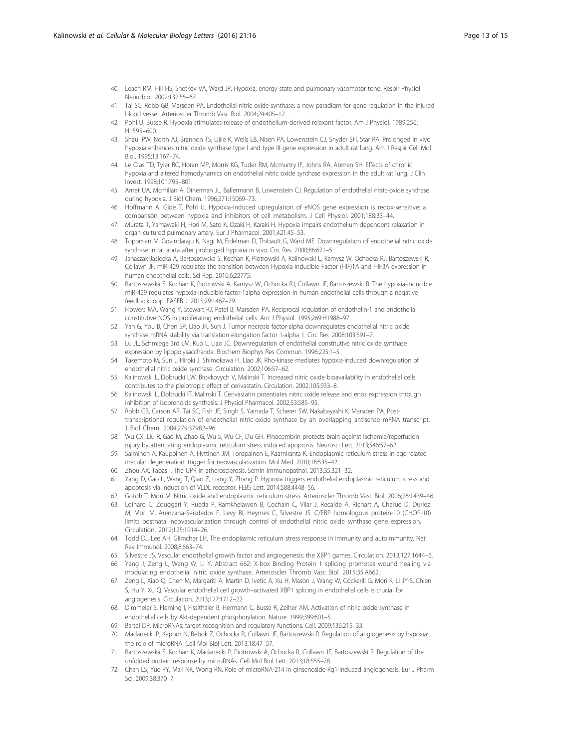- <span id="page-12-0"></span>40. Leach RM, Hill HS, Snetkov VA, Ward JP. Hypoxia, energy state and pulmonary vasomotor tone. Respir Physiol Neurobiol. 2002;132:55–67.
- 41. Tai SC, Robb GB, Marsden PA. Endothelial nitric oxide synthase: a new paradigm for gene regulation in the injured blood vessel. Arterioscler Thromb Vasc Biol. 2004;24:405–12.
- 42. Pohl U, Busse R. Hypoxia stimulates release of endothelium-derived relaxant factor. Am J Physiol. 1989;256: H1595–600.
- 43. Shaul PW, North AJ, Brannon TS, Ujiie K, Wells LB, Nisen PA, Lowenstein CJ, Snyder SH, Star RA. Prolonged in vivo hypoxia enhances nitric oxide synthase type I and type III gene expression in adult rat lung. Am J Respir Cell Mol Biol. 1995;13:167–74.
- 44. Le Cras TD, Tyler RC, Horan MP, Morris KG, Tuder RM, Mcmurtry IF, Johns RA, Abman SH. Effects of chronic hypoxia and altered hemodynamics on endothelial nitric oxide synthase expression in the adult rat lung. J Clin Invest. 1998;101:795–801.
- 45. Arnet UA, Mcmillan A, Dinerman JL, Ballermann B, Lowenstein CJ. Regulation of endothelial nitric-oxide synthase during hypoxia. J Biol Chem. 1996;271:15069–73.
- 46. Hoffmann A, Gloe T, Pohl U. Hypoxia-induced upregulation of eNOS gene expression is redox-sensitive: a comparison between hypoxia and inhibitors of cell metabolism. J Cell Physiol. 2001;188:33–44.
- 47. Murata T, Yamawaki H, Hori M, Sato K, Ozaki H, Karaki H. Hypoxia impairs endothelium-dependent relaxation in organ cultured pulmonary artery. Eur J Pharmacol. 2001;421:45–53.
- 48. Toporsian M, Govindaraju K, Nagi M, Eidelman D, Thibault G, Ward ME. Downregulation of endothelial nitric oxide synthase in rat aorta after prolonged hypoxia in vivo. Circ Res. 2000;86:671–5.
- 49. Janaszak-Jasiecka A, Bartoszewska S, Kochan K, Piotrowski A, Kalinowski L, Kamysz W, Ochocka RJ, Bartoszewski R, Collawn JF. miR-429 regulates the transition between Hypoxia-Inducible Factor (HIF)1A and HIF3A expression in human endothelial cells. Sci Rep. 2016;6:22775.
- 50. Bartoszewska S, Kochan K, Piotrowski A, Kamysz W, Ochocka RJ, Collawn JF, Bartoszewski R. The hypoxia-inducible miR-429 regulates hypoxia-inducible factor-1alpha expression in human endothelial cells through a negative feedback loop. FASEB J. 2015;29:1467–79.
- 51. Flowers MA, Wang Y, Stewart RJ, Patel B, Marsden PA. Reciprocal regulation of endothelin-1 and endothelial constitutive NOS in proliferating endothelial cells. Am J Physiol. 1995;269:H1988–97.
- 52. Yan G, You B, Chen SP, Liao JK, Sun J. Tumor necrosis factor-alpha downregulates endothelial nitric oxide synthase mRNA stability via translation elongation factor 1-alpha 1. Circ Res. 2008;103:591–7.
- 53. Lu JL, Schmiege 3rd LM, Kuo L, Liao JC. Downregulation of endothelial constitutive nitric oxide synthase expression by lipopolysaccharide. Biochem Biophys Res Commun. 1996;225:1–5.
- 54. Takemoto M, Sun J, Hiroki J, Shimokawa H, Liao JK. Rho-kinase mediates hypoxia-induced downregulation of endothelial nitric oxide synthase. Circulation. 2002;106:57–62.
- 55. Kalinowski L, Dobrucki LW, Brovkovych V, Malinski T. Increased nitric oxide bioavailability in endothelial cells contributes to the pleiotropic effect of cerivastatin. Circulation. 2002;105:933–8.
- 56. Kalinowski L, Dobrucki IT, Malinski T. Cerivastatin potentiates nitric oxide release and enos expression through inhibition of isoprenoids synthesis. J Physiol Pharmacol. 2002;53:585–95.
- 57. Robb GB, Carson AR, Tai SC, Fish JE, Singh S, Yamada T, Scherer SW, Nakabayashi K, Marsden PA. Posttranscriptional regulation of endothelial nitric-oxide synthase by an overlapping antisense mRNA transcript. J Biol Chem. 2004;279:37982–96.
- 58. Wu CX, Liu R, Gao M, Zhao G, Wu S, Wu CF, Du GH. Pinocembrin protects brain against ischemia/reperfusion injury by attenuating endoplasmic reticulum stress induced apoptosis. Neurosci Lett. 2013;546:57–62.
- 59. Salminen A, Kauppinen A, Hyttinen JM, Toropainen E, Kaarniranta K. Endoplasmic reticulum stress in age-related macular degeneration: trigger for neovascularization. Mol Med. 2010;16:535-42.
- 60. Zhou AX, Tabas I. The UPR in atherosclerosis. Semin Immunopathol. 2013;35:321–32.
- 61. Yang D, Gao L, Wang T, Qiao Z, Liang Y, Zhang P. Hypoxia triggers endothelial endoplasmic reticulum stress and apoptosis via induction of VLDL receptor. FEBS Lett. 2014;588:4448–56.
- 62. Gotoh T, Mori M. Nitric oxide and endoplasmic reticulum stress. Arterioscler Thromb Vasc Biol. 2006;26:1439–46.
- 63. Loinard C, Zouggari Y, Rueda P, Ramkhelawon B, Cochain C, Vilar J, Recalde A, Richart A, Charue D, Duriez M, Mori M, Arenzana-Seisdedos F, Levy BI, Heymes C, Silvestre JS. C/EBP homologous protein-10 (CHOP-10) limits postnatal neovascularization through control of endothelial nitric oxide synthase gene expression. Circulation. 2012;125:1014–26.
- 64. Todd DJ, Lee AH, Glimcher LH. The endoplasmic reticulum stress response in immunity and autoimmunity. Nat Rev Immunol. 2008;8:663–74.
- 65. Silvestre JS. Vascular endothelial growth factor and angiogenesis: the XBP1 games. Circulation. 2013;127:1644–6. 66. Yang J, Zeng L, Wang W, Li Y. Abstract 662: X-box Binding Protein 1 splicing promotes wound healing via modulating endothelial nitric oxide synthase. Arterioscler Thromb Vasc Biol. 2015;35:A662.
- 67. Zeng L, Xiao Q, Chen M, Margariti A, Martin D, Ivetic A, Xu H, Mason J, Wang W, Cockerill G, Mori K, Li JY-S, Chien S, Hu Y, Xu Q. Vascular endothelial cell growth–activated XBP1 splicing in endothelial cells is crucial for angiogenesis. Circulation. 2013;127:1712–22.
- 68. Dimmeler S, Fleming I, Fisslthaler B, Hermann C, Busse R, Zeiher AM. Activation of nitric oxide synthase in endothelial cells by Akt-dependent phosphorylation. Nature. 1999;399:601–5.
- 69. Bartel DP. MicroRNAs: target recognition and regulatory functions. Cell. 2009;136:215–33.
- 70. Madanecki P, Kapoor N, Bebok Z, Ochocka R, Collawn JF, Bartoszewski R. Regulation of angiogenesis by hypoxia: the role of microRNA. Cell Mol Biol Lett. 2013;18:47–57.
- 71. Bartoszewska S, Kochan K, Madanecki P, Piotrowski A, Ochocka R, Collawn JF, Bartoszewski R. Regulation of the unfolded protein response by microRNAs. Cell Mol Biol Lett. 2013;18:555–78.
- 72. Chan LS, Yue PY, Mak NK, Wong RN. Role of microRNA-214 in ginsenoside-Rg1-induced angiogenesis. Eur J Pharm Sci. 2009;38:370–7.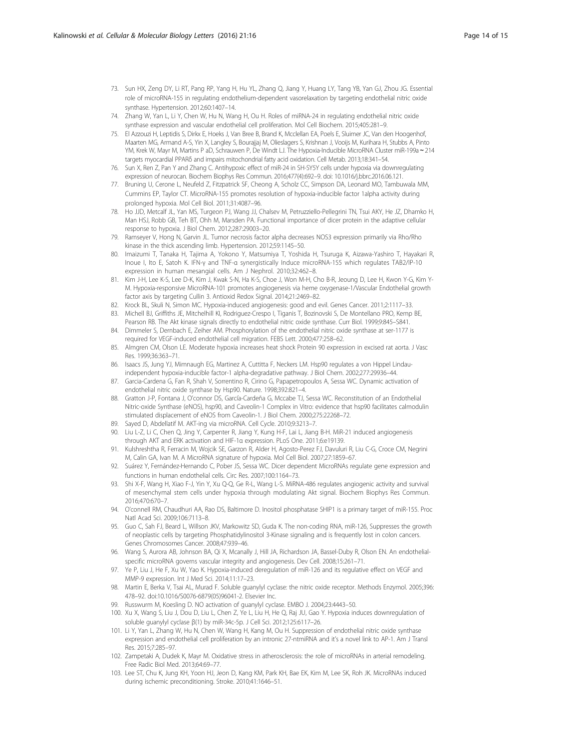- <span id="page-13-0"></span>73. Sun HX, Zeng DY, Li RT, Pang RP, Yang H, Hu YL, Zhang Q, Jiang Y, Huang LY, Tang YB, Yan GJ, Zhou JG. Essential role of microRNA-155 in regulating endothelium-dependent vasorelaxation by targeting endothelial nitric oxide synthase. Hypertension. 2012;60:1407–14.
- 74. Zhang W, Yan L, Li Y, Chen W, Hu N, Wang H, Ou H. Roles of miRNA-24 in regulating endothelial nitric oxide synthase expression and vascular endothelial cell proliferation. Mol Cell Biochem. 2015;405:281–9.
- 75. El Azzouzi H, Leptidis S, Dirkx E, Hoeks J, Van Bree B, Brand K, Mcclellan EA, Poels E, Sluimer JC, Van den Hoogenhof, Maarten MG, Armand A-S, Yin X, Langley S, Bourajjaj M, Olieslagers S, Krishnan J, Vooijs M, Kurihara H, Stubbs A, Pinto YM, Krek W, Mayr M, Martins P aD, Schrauwen P, De Windt LJ. The Hypoxia-Inducible MicroRNA Cluster miR-199a ∼ 214 targets myocardial PPARδ and impairs mitochondrial fatty acid oxidation. Cell Metab. 2013;18:341–54.
- 76. Sun X, Ren Z, Pan Y and Zhang C. Antihypoxic effect of miR-24 in SH-SY5Y cells under hypoxia via downregulating expression of neurocan. Biochem Biophys Res Commun. 2016;477(4):692–9. doi: [10.1016/j.bbrc.2016.06.121](http://dx.doi.org/10.1016/j.bbrc.2016.06.121).
- 77. Bruning U, Cerone L, Neufeld Z, Fitzpatrick SF, Cheong A, Scholz CC, Simpson DA, Leonard MO, Tambuwala MM, Cummins EP, Taylor CT. MicroRNA-155 promotes resolution of hypoxia-inducible factor 1alpha activity during prolonged hypoxia. Mol Cell Biol. 2011;31:4087–96.
- 78. Ho JJD, Metcalf JL, Yan MS, Turgeon PJ, Wang JJ, Chalsev M, Petruzziello-Pellegrini TN, Tsui AKY, He JZ, Dhamko H, Man HSJ, Robb GB, Teh BT, Ohh M, Marsden PA. Functional importance of dicer protein in the adaptive cellular response to hypoxia. J Biol Chem. 2012;287:29003–20.
- 79. Ramseyer V, Hong N, Garvin JL. Tumor necrosis factor alpha decreases NOS3 expression primarily via Rho/Rho kinase in the thick ascending limb. Hypertension. 2012;59:1145–50.
- 80. Imaizumi T, Tanaka H, Tajima A, Yokono Y, Matsumiya T, Yoshida H, Tsuruga K, Aizawa-Yashiro T, Hayakari R, Inoue I, Ito E, Satoh K. IFN-γ and TNF-α synergistically Induce microRNA-155 which regulates TAB2/IP-10 expression in human mesangial cells. Am J Nephrol. 2010;32:462–8.
- 81. Kim J-H, Lee K-S, Lee D-K, Kim J, Kwak S-N, Ha K-S, Choe J, Won M-H, Cho B-R, Jeoung D, Lee H, Kwon Y-G, Kim Y-M. Hypoxia-responsive MicroRNA-101 promotes angiogenesis via heme oxygenase-1/Vascular Endothelial growth factor axis by targeting Cullin 3. Antioxid Redox Signal. 2014;21:2469–82.
- 82. Krock BL, Skuli N, Simon MC. Hypoxia-induced angiogenesis: good and evil. Genes Cancer. 2011;2:1117–33. 83. Michell BJ, Griffiths JE, Mitchelhill KI, Rodriguez-Crespo I, Tiganis T, Bozinovski S, De Montellano PRO, Kemp BE,
- Pearson RB. The Akt kinase signals directly to endothelial nitric oxide synthase. Curr Biol. 1999;9:845–S841.
- 84. Dimmeler S, Dernbach E, Zeiher AM. Phosphorylation of the endothelial nitric oxide synthase at ser-1177 is required for VEGF-induced endothelial cell migration. FEBS Lett. 2000;477:258–62.
- 85. Almgren CM, Olson LE. Moderate hypoxia increases heat shock Protein 90 expression in excised rat aorta. J Vasc Res. 1999;36:363–71.
- 86. Isaacs JS, Jung YJ, Mimnaugh EG, Martinez A, Cuttitta F, Neckers LM. Hsp90 regulates a von Hippel Lindauindependent hypoxia-inducible factor-1 alpha-degradative pathway. J Biol Chem. 2002;277:29936–44.
- 87. Garcia-Cardena G, Fan R, Shah V, Sorrentino R, Cirino G, Papapetropoulos A, Sessa WC. Dynamic activation of endothelial nitric oxide synthase by Hsp90. Nature. 1998;392:821–4.
- 88. Gratton J-P, Fontana J, O'connor DS, García-Cardeña G, Mccabe TJ, Sessa WC. Reconstitution of an Endothelial Nitric-oxide Synthase (eNOS), hsp90, and Caveolin-1 Complex in Vitro: evidence that hsp90 facilitates calmodulin stimulated displacement of eNOS from Caveolin-1. J Biol Chem. 2000;275:22268–72.
- 89. Sayed D, Abdellatif M. AKT-ing via microRNA. Cell Cycle. 2010;9:3213–7.
- 90. Liu L-Z, Li C, Chen Q, Jing Y, Carpenter R, Jiang Y, Kung H-F, Lai L, Jiang B-H. MiR-21 induced angiogenesis through AKT and ERK activation and HIF-1α expression. PLoS One. 2011;6:e19139.
- 91. Kulshreshtha R, Ferracin M, Wojcik SE, Garzon R, Alder H, Agosto-Perez FJ, Davuluri R, Liu C-G, Croce CM, Negrini M, Calin GA, Ivan M. A MicroRNA signature of hypoxia. Mol Cell Biol. 2007;27:1859–67.
- 92. Suárez Y, Fernández-Hernando C, Pober JS, Sessa WC. Dicer dependent MicroRNAs regulate gene expression and functions in human endothelial cells. Circ Res. 2007;100:1164–73.
- 93. Shi X-F, Wang H, Xiao F-J, Yin Y, Xu Q-Q, Ge R-L, Wang L-S. MiRNA-486 regulates angiogenic activity and survival of mesenchymal stem cells under hypoxia through modulating Akt signal. Biochem Biophys Res Commun. 2016;470:670–7.
- 94. O'connell RM, Chaudhuri AA, Rao DS, Baltimore D. Inositol phosphatase SHIP1 is a primary target of miR-155. Proc Natl Acad Sci. 2009;106:7113–8.
- 95. Guo C, Sah FJ, Beard L, Willson JKV, Markowitz SD, Guda K. The non-coding RNA, miR-126, Suppresses the growth of neoplastic cells by targeting Phosphatidylinositol 3-Kinase signaling and is frequently lost in colon cancers. Genes Chromosomes Cancer. 2008;47:939–46.
- 96. Wang S, Aurora AB, Johnson BA, Qi X, Mcanally J, Hill JA, Richardson JA, Bassel-Duby R, Olson EN. An endothelialspecific microRNA governs vascular integrity and angiogenesis. Dev Cell. 2008;15:261–71.
- 97. Ye P, Liu J, He F, Xu W, Yao K. Hypoxia-induced deregulation of miR-126 and its regulative effect on VEGF and MMP-9 expression. Int J Med Sci. 2014;11:17–23.
- 98. Martin E, Berka V, Tsai AL, Murad F. Soluble guanylyl cyclase: the nitric oxide receptor. Methods Enzymol. 2005;396: 478–92. doi:[10.1016/S0076-6879\(05\)96041-2.](http://dx.doi.org/10.1016/S0076-6879(05)96041-2) Elsevier Inc.
- 99. Russwurm M, Koesling D. NO activation of guanylyl cyclase. EMBO J. 2004;23:4443–50.
- 100. Xu X, Wang S, Liu J, Dou D, Liu L, Chen Z, Ye L, Liu H, He Q, Raj JU, Gao Y. Hypoxia induces downregulation of soluble guanylyl cyclase β(1) by miR-34c-5p. J Cell Sci. 2012;125:6117–26.
- 101. Li Y, Yan L, Zhang W, Hu N, Chen W, Wang H, Kang M, Ou H. Suppression of endothelial nitric oxide synthase expression and endothelial cell proliferation by an intronic 27-ntmiRNA and it's a novel link to AP-1. Am J Transl Res. 2015;7:285–97.
- 102. Zampetaki A, Dudek K, Mayr M. Oxidative stress in atherosclerosis: the role of microRNAs in arterial remodeling. Free Radic Biol Med. 2013;64:69–77.
- 103. Lee ST, Chu K, Jung KH, Yoon HJ, Jeon D, Kang KM, Park KH, Bae EK, Kim M, Lee SK, Roh JK. MicroRNAs induced during ischemic preconditioning. Stroke. 2010;41:1646–51.